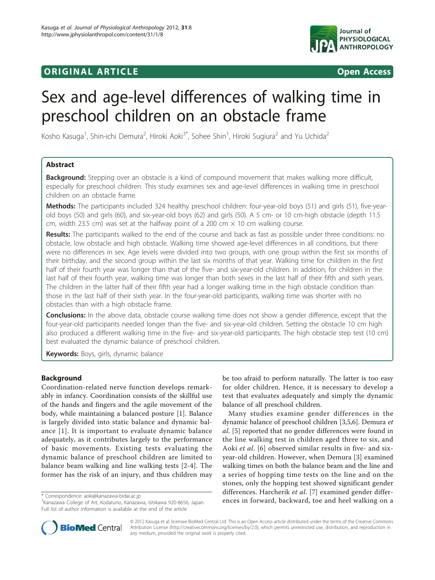# ORIGINAL ARTICLE **CONSERVANCE IN A LOCAL CONSERVANCE IN A LOCAL CONSERVANCE IN A LOCAL CONSERVANCE IN A LOCAL CONS**



# Sex and age-level differences of walking time in preschool children on an obstacle frame

Kosho Kasuga<sup>1</sup>, Shin-ichi Demura<sup>2</sup>, Hiroki Aoki<sup>3\*</sup>, Sohee Shin<sup>1</sup>, Hiroki Sugiura<sup>2</sup> and Yu Uchida<sup>2</sup>

# Abstract

**Background:** Stepping over an obstacle is a kind of compound movement that makes walking more difficult, especially for preschool children. This study examines sex and age-level differences in walking time in preschool children on an obstacle frame.

Methods: The participants included 324 healthy preschool children: four-year-old boys (51) and girls (51), five-yearold boys (50) and girls (60), and six-year-old boys (62) and girls (50). A 5 cm- or 10 cm-high obstacle (depth 11.5 cm, width 23.5 cm) was set at the halfway point of a 200 cm  $\times$  10 cm walking course.

Results: The participants walked to the end of the course and back as fast as possible under three conditions: no obstacle, low obstacle and high obstacle. Walking time showed age-level differences in all conditions, but there were no differences in sex. Age levels were divided into two groups, with one group within the first six months of their birthday, and the second group within the last six months of that year. Walking time for children in the first half of their fourth year was longer than that of the five- and six-year-old children. In addition, for children in the last half of their fourth year, walking time was longer than both sexes in the last half of their fifth and sixth years. The children in the latter half of their fifth year had a longer walking time in the high obstacle condition than those in the last half of their sixth year. In the four-year-old participants, walking time was shorter with no obstacles than with a high obstacle frame.

Conclusions: In the above data, obstacle course walking time does not show a gender difference, except that the four-year-old participants needed longer than the five- and six-year-old children. Setting the obstacle 10 cm high also produced a different walking time in the five- and six-year-old participants. The high obstacle step test (10 cm) best evaluated the dynamic balance of preschool children.

Keywords: Boys, girls, dynamic balance

# Background

Coordination-related nerve function develops remarkably in infancy. Coordination consists of the skillful use of the hands and fingers and the agile movement of the body, while maintaining a balanced posture [\[1](#page-4-0)]. Balance is largely divided into static balance and dynamic balance [[1\]](#page-4-0). It is important to evaluate dynamic balance adequately, as it contributes largely to the performance of basic movements. Existing tests evaluating the dynamic balance of preschool children are limited to balance beam walking and line walking tests [\[2](#page-4-0)[-4](#page-5-0)]. The former has the risk of an injury, and thus children may

be too afraid to perform naturally. The latter is too easy for older children. Hence, it is necessary to develop a test that evaluates adequately and simply the dynamic balance of all preschool children.

Many studies examine gender differences in the dynamic balance of preschool children [\[3,5,6](#page-5-0)]. Demura et al. [\[5\]](#page-5-0) reported that no gender differences were found in the line walking test in children aged three to six, and Aoki et al. [[6\]](#page-5-0) observed similar results in five- and sixyear-old children. However, when Demura [[3\]](#page-5-0) examined walking times on both the balance beam and the line and a series of hopping time tests on the line and on the stones, only the hopping test showed significant gender differences. Harcherik et al. [[7](#page-5-0)] examined gender differences in the correspondence: [aoki@kanazawa-bidai.ac.jp](mailto:aoki@kanazawa-bidai.ac.jp)<br><sup>3</sup>Kanazawa College of Art Kodatuno, Kanazawa, Ishikawa 920-8656, Japan **ences in forward, backward, toe and heel walking on a** 



© 2012 Kasuga et al; licensee BioMed Central Ltd. This is an Open Access article distributed under the terms of the Creative Commons Attribution License [\(http://creativecommons.org/licenses/by/2.0](http://creativecommons.org/licenses/by/2.0)), which permits unrestricted use, distribution, and reproduction in any medium, provided the original work is properly cited.

<sup>3</sup> Kanazawa College of Art, Kodatuno, Kanazawa, Ishikawa 920-8656, Japan Full list of author information is available at the end of the article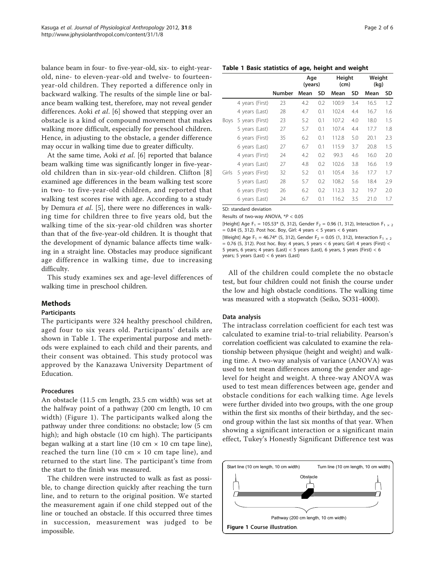<span id="page-1-0"></span>balance beam in four- to five-year-old, six- to eight-yearold, nine- to eleven-year-old and twelve- to fourteenyear-old children. They reported a difference only in backward walking. The results of the simple line or balance beam walking test, therefore, may not reveal gender differences. Aoki et al. [[6\]](#page-5-0) showed that stepping over an obstacle is a kind of compound movement that makes walking more difficult, especially for preschool children. Hence, in adjusting to the obstacle, a gender difference may occur in walking time due to greater difficulty.

At the same time, Aoki et al. [\[6](#page-5-0)] reported that balance beam walking time was significantly longer in five-yearold children than in six-year-old children. Clifton [[8](#page-5-0)] examined age differences in the beam walking test score in two- to five-year-old children, and reported that walking test scores rise with age. According to a study by Demura et al. [[5\]](#page-5-0), there were no differences in walking time for children three to five years old, but the walking time of the six-year-old children was shorter than that of the five-year-old children. It is thought that the development of dynamic balance affects time walking in a straight line. Obstacles may produce significant age difference in walking time, due to increasing difficulty.

This study examines sex and age-level differences of walking time in preschool children.

# Methods

#### Participants

The participants were 324 healthy preschool children, aged four to six years old. Participants' details are shown in Table 1. The experimental purpose and methods were explained to each child and their parents, and their consent was obtained. This study protocol was approved by the Kanazawa University Department of Education.

# Procedures

An obstacle (11.5 cm length, 23.5 cm width) was set at the halfway point of a pathway (200 cm length, 10 cm width) (Figure 1). The participants walked along the pathway under three conditions: no obstacle; low (5 cm high); and high obstacle (10 cm high). The participants began walking at a start line (10 cm  $\times$  10 cm tape line), reached the turn line (10 cm  $\times$  10 cm tape line), and returned to the start line. The participant's time from the start to the finish was measured.

The children were instructed to walk as fast as possible, to change direction quickly after reaching the turn line, and to return to the original position. We started the measurement again if one child stepped out of the line or touched an obstacle. If this occurred three times in succession, measurement was judged to be impossible.

| rage 7 |  | nt | h |
|--------|--|----|---|
|--------|--|----|---|

#### Table 1 Basic statistics of age, height and weight

|       |                 |               | Age<br>(years) |     | Height<br>(cm) |     | Weight<br>(kq) |     |
|-------|-----------------|---------------|----------------|-----|----------------|-----|----------------|-----|
|       |                 | <b>Number</b> | Mean           | SD  | Mean           | SD  | Mean           | SD  |
|       | 4 years (First) | 23            | 4.2            | 0.2 | 100.9          | 3.4 | 16.5           | 1.2 |
|       | 4 years (Last)  | 28            | 4.7            | 0.1 | 102.4          | 4.4 | 16.7           | 1.6 |
| Boys  | 5 years (First) | 23            | 5.2            | 0.1 | 107.2          | 4.0 | 18.0           | 1.5 |
|       | 5 years (Last)  | 27            | 5.7            | 0.1 | 107.4          | 4.4 | 17.7           | 1.8 |
|       | 6 years (First) | 35            | 6.2            | 0.1 | 112.8          | 5.0 | 20.1           | 2.3 |
|       | 6 years (Last)  | 27            | 6.7            | 0.1 | 115.9          | 3.7 | 20.8           | 1.5 |
|       | 4 years (First) | 24            | 4.2            | 0.2 | 99.3           | 4.6 | 16.0           | 2.0 |
|       | 4 years (Last)  | 27            | 4.8            | 0.2 | 102.6          | 3.8 | 16.6           | 1.9 |
| Girls | 5 years (First) | 32            | 5.2            | 0.1 | 105.4          | 3.6 | 17.7           | 1.7 |
|       | 5 years (Last)  | 28            | 5.7            | 0.2 | 108.2          | 5.6 | 18.4           | 2.9 |
|       | 6 years (First) | 26            | 6.2            | 0.2 | 112.3          | 3.2 | 19.7           | 2.0 |
|       | 6 years (Last)  | 24            | 6.7            | 0.1 | 116.2          | 3.5 | 21.0           | 1.7 |

SD: standard deviation

Results of two-way ANOVA, \*P < 0.05

[Height] Age F<sub>1</sub> = 105.53\* (5, 312), Gender F<sub>2</sub> = 0.96 (1, 312), Interaction F<sub>1 × 2</sub>  $= 0.84$  (5, 312). Post hoc. Boy, Girl: 4 years < 5 years < 6 years [Weight] Age F<sub>1</sub> = 46.74\* (5, 312), Gender F<sub>2</sub> = 0.05 (1, 312), Interaction F<sub>1 × 2</sub>  $= 0.76$  (5, 312). Post hoc. Boy: 4 years, 5 years < 6 years; Girl: 4 years (First) < 5 years, 6 years; 4 years (Last) < 5 years (Last), 6 years, 5 years (First) < 6 years; 5 years (Last) < 6 years (Last)

All of the children could complete the no obstacle test, but four children could not finish the course under the low and high obstacle conditions. The walking time was measured with a stopwatch (Seiko, SO31-4000).

#### Data analysis

The intraclass correlation coefficient for each test was calculated to examine trial-to-trial reliability. Pearson's correlation coefficient was calculated to examine the relationship between physique (height and weight) and walking time. A two-way analysis of variance (ANOVA) was used to test mean differences among the gender and agelevel for height and weight. A three-way ANOVA was used to test mean differences between age, gender and obstacle conditions for each walking time. Age levels were further divided into two groups, with the one group within the first six months of their birthday, and the second group within the last six months of that year. When showing a significant interaction or a significant main effect, Tukey's Honestly Significant Difference test was

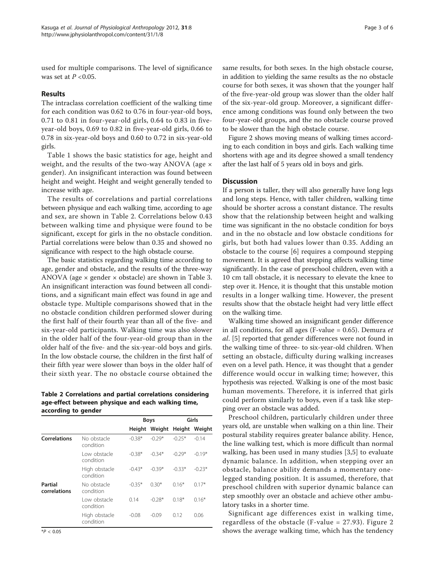used for multiple comparisons. The level of significance was set at  $P < 0.05$ .

## Results

The intraclass correlation coefficient of the walking time for each condition was 0.62 to 0.76 in four-year-old boys, 0.71 to 0.81 in four-year-old girls, 0.64 to 0.83 in fiveyear-old boys, 0.69 to 0.82 in five-year-old girls, 0.66 to 0.78 in six-year-old boys and 0.60 to 0.72 in six-year-old girls.

Table [1](#page-1-0) shows the basic statistics for age, height and weight, and the results of the two-way ANOVA (age × gender). An insignificant interaction was found between height and weight. Height and weight generally tended to increase with age.

The results of correlations and partial correlations between physique and each walking time, according to age and sex, are shown in Table 2. Correlations below 0.43 between walking time and physique were found to be significant, except for girls in the no obstacle condition. Partial correlations were below than 0.35 and showed no significance with respect to the high obstacle course.

The basic statistics regarding walking time according to age, gender and obstacle, and the results of the three-way ANOVA (age  $\times$  gender  $\times$  obstacle) are shown in Table [3](#page-3-0). An insignificant interaction was found between all conditions, and a significant main effect was found in age and obstacle type. Multiple comparisons showed that in the no obstacle condition children performed slower during the first half of their fourth year than all of the five- and six-year-old participants. Walking time was also slower in the older half of the four-year-old group than in the older half of the five- and the six-year-old boys and girls. In the low obstacle course, the children in the first half of their fifth year were slower than boys in the older half of their sixth year. The no obstacle course obtained the

Table 2 Correlations and partial correlations considering age-effect between physique and each walking time, according to gender

|                         |                            |          | <b>Boys</b>                 | Girls    |          |  |
|-------------------------|----------------------------|----------|-----------------------------|----------|----------|--|
|                         |                            |          | Height Weight Height Weight |          |          |  |
| <b>Correlations</b>     | No obstacle<br>condition   | $-0.38*$ | $-0.29*$                    | $-0.25*$ | $-0.14$  |  |
|                         | Low obstacle<br>condition  | $-0.38*$ | $-0.34*$                    | $-0.29*$ | $-0.19*$ |  |
|                         | High obstacle<br>condition | $-0.43*$ | $-0.39*$                    | $-0.33*$ | $-0.23*$ |  |
| Partial<br>correlations | No obstacle<br>condition   | $-0.35*$ | $0.30*$                     | $0.16*$  | $0.17*$  |  |
|                         | Low obstacle<br>condition  | 0.14     | $-0.28*$                    | $0.18*$  | $0.16*$  |  |
|                         | High obstacle<br>condition | $-0.08$  | $-0.09$                     | 0.12     | 0.06     |  |

same results, for both sexes. In the high obstacle course, in addition to yielding the same results as the no obstacle course for both sexes, it was shown that the younger half of the five-year-old group was slower than the older half of the six-year-old group. Moreover, a significant difference among conditions was found only between the two four-year-old groups, and the no obstacle course proved to be slower than the high obstacle course.

Figure [2](#page-4-0) shows moving means of walking times according to each condition in boys and girls. Each walking time shortens with age and its degree showed a small tendency after the last half of 5 years old in boys and girls.

## **Discussion**

If a person is taller, they will also generally have long legs and long steps. Hence, with taller children, walking time should be shorter across a constant distance. The results show that the relationship between height and walking time was significant in the no obstacle condition for boys and in the no obstacle and low obstacle conditions for girls, but both had values lower than 0.35. Adding an obstacle to the course [[6](#page-5-0)] requires a compound stepping movement. It is agreed that stepping affects walking time significantly. In the case of preschool children, even with a 10 cm tall obstacle, it is necessary to elevate the knee to step over it. Hence, it is thought that this unstable motion results in a longer walking time. However, the present results show that the obstacle height had very little effect on the walking time.

Walking time showed an insignificant gender difference in all conditions, for all ages (F-value =  $0.65$ ). Demura *et* al. [[5\]](#page-5-0) reported that gender differences were not found in the walking time of three- to six-year-old children. When setting an obstacle, difficulty during walking increases even on a level path. Hence, it was thought that a gender difference would occur in walking time; however, this hypothesis was rejected. Walking is one of the most basic human movements. Therefore, it is inferred that girls could perform similarly to boys, even if a task like stepping over an obstacle was added.

Preschool children, particularly children under three years old, are unstable when walking on a thin line. Their postural stability requires greater balance ability. Hence, the line walking test, which is more difficult than normal walking, has been used in many studies [[3,5](#page-5-0)] to evaluate dynamic balance. In addition, when stepping over an obstacle, balance ability demands a momentary onelegged standing position. It is assumed, therefore, that preschool children with superior dynamic balance can step smoothly over an obstacle and achieve other ambulatory tasks in a shorter time.

Significant age differences exist in walking time, regardless of the obstacle (F-value = 27.93). Figure [2](#page-4-0) shows the average walking time, which has the tendency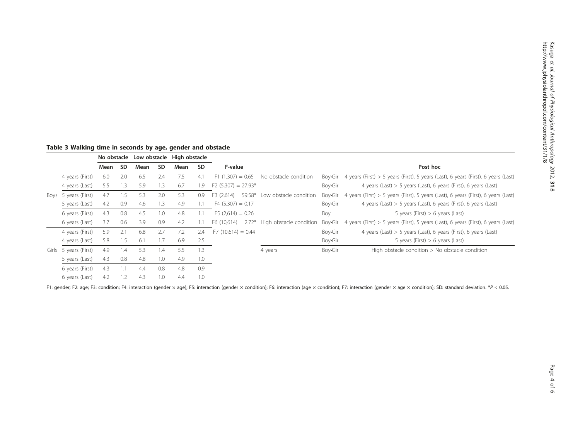<span id="page-3-0"></span>Table 3 Walking time in seconds by age, gender and obstacle

|       |                 |      |           |      |           | No obstacle Low obstacle High obstacle |           |                      |                                               |          |                                                                                               |  |  |  |  |
|-------|-----------------|------|-----------|------|-----------|----------------------------------------|-----------|----------------------|-----------------------------------------------|----------|-----------------------------------------------------------------------------------------------|--|--|--|--|
|       |                 | Mean | <b>SD</b> | Mean | <b>SD</b> | Mean                                   | <b>SD</b> | F-value              |                                               |          | Post hoc                                                                                      |  |  |  |  |
|       | 4 years (First) | 6.0  | 2.0       | 6.5  | 2.4       | 7.5                                    | 4.1       | $F1(1,307) = 0.65$   | No obstacle condition                         |          | Boy•Girl 4 years (First) > 5 years (First), 5 years (Last), 6 years (First), 6 years (Last)   |  |  |  |  |
|       | 4 years (Last)  | 5.5  | 1.3       | 5.9  | 1.3       | 6.7                                    | 1.9       | $F2(5,307) = 27.93*$ |                                               | Boy•Girl | 4 years (Last) $> 5$ years (Last), 6 years (First), 6 years (Last)                            |  |  |  |  |
| Boys  | 5 years (First) | 4.7  | 1.5       | 5.3  | 2.0       | 5.3                                    | 0.9       | $F3(2,614) = 59.58*$ | Low obstacle condition                        |          | Boy-Girl 4 years (First) $> 5$ years (First), 5 years (Last), 6 years (First), 6 years (Last) |  |  |  |  |
|       | 5 years (Last)  | 4.2  | 0.9       | 4.6  | 1.3       | 4.9                                    |           | $F4(5,307) = 0.17$   |                                               | Boy•Girl | 4 years (Last) > 5 years (Last), 6 years (First), 6 years (Last)                              |  |  |  |  |
|       | 6 years (First) | 4.3  | 0.8       | 4.5  | 1.0       | 4.8                                    |           | $F5(2.614) = 0.26$   |                                               | Boy      | 5 years (First) $> 6$ years (Last)                                                            |  |  |  |  |
|       | 6 years (Last)  | 3.7  | 0.6       | 3.9  | 0.9       | 4.2                                    |           |                      | F6 (10,614) = $2.72*$ High obstacle condition |          | Boy Girl 4 years (First) > 5 years (First), 5 years (Last), 6 years (First), 6 years (Last)   |  |  |  |  |
|       | 4 years (First) | 5.9  | 2.1       | 6.8  | 2.7       | 7.2                                    | 2.4       | $F7(10,614) = 0.44$  |                                               | Boy•Girl | 4 years (Last) $> 5$ years (Last), 6 years (First), 6 years (Last)                            |  |  |  |  |
|       | 4 years (Last)  | 5.8  | 1.5       | 6.1  | 1.7       | 6.9                                    | 2.5       |                      |                                               | Boy•Girl | 5 years (First) $> 6$ years (Last)                                                            |  |  |  |  |
| Girls | 5 years (First) | 4.9  | 1.4       | 5.3  | 1.4       | 5.5                                    | 1.3       |                      | 4 years                                       | Boy•Girl | High obstacle condition > No obstacle condition                                               |  |  |  |  |
|       | 5 years (Last)  | 4.3  | 0.8       | 4.8  | 1.0       | 4.9                                    | 1.0       |                      |                                               |          |                                                                                               |  |  |  |  |
|       | 6 years (First) | 4.3  | 1.1       | 4.4  | 0.8       | 4.8                                    | 0.9       |                      |                                               |          |                                                                                               |  |  |  |  |
|       | 6 years (Last)  | 4.2  | 1.2       | 4.3  | 1.0       | 4.4                                    | 1.0       |                      |                                               |          |                                                                                               |  |  |  |  |

F1: gender; F2: age; F3: condition; F4: interaction (gender × age); F5: interaction (gender × condition); F6: interaction (age × condition); F7: interaction (gender × age × condition); SD: standard deviation. \*P < 0.05.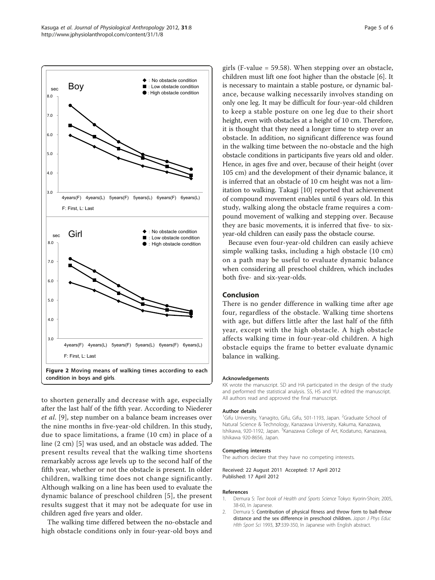<span id="page-4-0"></span>

condition in boys and girls.

to shorten generally and decrease with age, especially after the last half of the fifth year. According to Niederer et al. [[9](#page-5-0)], step number on a balance beam increases over the nine months in five-year-old children. In this study, due to space limitations, a frame (10 cm) in place of a line (2 cm) [\[5](#page-5-0)] was used, and an obstacle was added. The present results reveal that the walking time shortens remarkably across age levels up to the second half of the fifth year, whether or not the obstacle is present. In older children, walking time does not change significantly. Although walking on a line has been used to evaluate the dynamic balance of preschool children [[5\]](#page-5-0), the present results suggest that it may not be adequate for use in children aged five years and older.

The walking time differed between the no-obstacle and high obstacle conditions only in four-year-old boys and girls (F-value = 59.58). When stepping over an obstacle, children must lift one foot higher than the obstacle [\[6](#page-5-0)]. It is necessary to maintain a stable posture, or dynamic balance, because walking necessarily involves standing on only one leg. It may be difficult for four-year-old children to keep a stable posture on one leg due to their short height, even with obstacles at a height of 10 cm. Therefore, it is thought that they need a longer time to step over an obstacle. In addition, no significant difference was found in the walking time between the no-obstacle and the high obstacle conditions in participants five years old and older. Hence, in ages five and over, because of their height (over 105 cm) and the development of their dynamic balance, it is inferred that an obstacle of 10 cm height was not a limitation to walking. Takagi [[10\]](#page-5-0) reported that achievement of compound movement enables until 6 years old. In this study, walking along the obstacle frame requires a compound movement of walking and stepping over. Because they are basic movements, it is inferred that five- to sixyear-old children can easily pass the obstacle course.

Because even four-year-old children can easily achieve simple walking tasks, including a high obstacle (10 cm) on a path may be useful to evaluate dynamic balance when considering all preschool children, which includes both five- and six-year-olds.

## Conclusion

There is no gender difference in walking time after age four, regardless of the obstacle. Walking time shortens with age, but differs little after the last half of the fifth year, except with the high obstacle. A high obstacle affects walking time in four-year-old children. A high obstacle equips the frame to better evaluate dynamic balance in walking.

#### Acknowledgements

KK wrote the manuscript. SD and HA participated in the design of the study and performed the statistical analysis. SS, HS and YU edited the manuscript. All authors read and approved the final manuscript.

#### Author details

<sup>1</sup>Gifu University, Yanagito, Gifu, Gifu, 501-1193, Japan. <sup>2</sup>Graduate School of Natural Science & Technology, Kanazawa University, Kakuma, Kanazawa, Ishikawa, 920-1192, Japan. <sup>3</sup>Kanazawa College of Art, Kodatuno, Kanazawa, Ishikawa 920-8656, Japan.

#### Competing interests

The authors declare that they have no competing interests.

#### Received: 22 August 2011 Accepted: 17 April 2012 Published: 17 April 2012

#### References

- 1. Demura S: Text book of Health and Sports Science Tokyo: Kyorin-Shoin; 2005, 38-60, In Japanese.
- 2. Demura S: Contribution of physical fitness and throw form to ball-throw distance and the sex difference in preschool children. Japan J Phys Educ Hlth Sport Sci 1993, 37:339-350, In Japanese with English abstract.